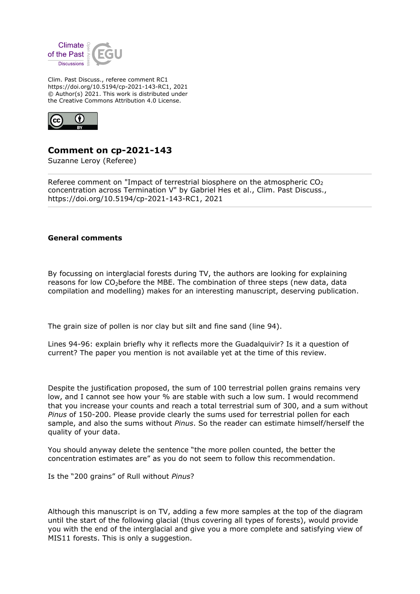

Clim. Past Discuss., referee comment RC1 https://doi.org/10.5194/cp-2021-143-RC1, 2021 © Author(s) 2021. This work is distributed under the Creative Commons Attribution 4.0 License.



## **Comment on cp-2021-143**

Suzanne Leroy (Referee)

Referee comment on "Impact of terrestrial biosphere on the atmospheric  $CO<sub>2</sub>$ concentration across Termination V" by Gabriel Hes et al., Clim. Past Discuss., https://doi.org/10.5194/cp-2021-143-RC1, 2021

## **General comments**

By focussing on interglacial forests during TV, the authors are looking for explaining reasons for low  $CO<sub>2</sub>$  before the MBE. The combination of three steps (new data, data compilation and modelling) makes for an interesting manuscript, deserving publication.

The grain size of pollen is nor clay but silt and fine sand (line 94).

Lines 94-96: explain briefly why it reflects more the Guadalquivir? Is it a question of current? The paper you mention is not available yet at the time of this review.

Despite the justification proposed, the sum of 100 terrestrial pollen grains remains very low, and I cannot see how your % are stable with such a low sum. I would recommend that you increase your counts and reach a total terrestrial sum of 300, and a sum without *Pinus* of 150-200. Please provide clearly the sums used for terrestrial pollen for each sample, and also the sums without *Pinus*. So the reader can estimate himself/herself the quality of your data.

You should anyway delete the sentence "the more pollen counted, the better the concentration estimates are" as you do not seem to follow this recommendation.

Is the "200 grains" of Rull without *Pinus*?

Although this manuscript is on TV, adding a few more samples at the top of the diagram until the start of the following glacial (thus covering all types of forests), would provide you with the end of the interglacial and give you a more complete and satisfying view of MIS11 forests. This is only a suggestion.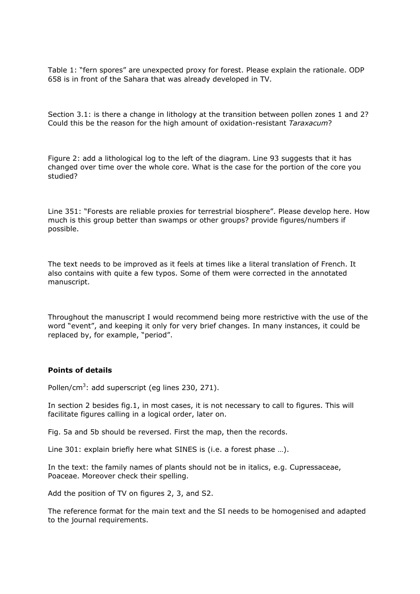Table 1: "fern spores" are unexpected proxy for forest. Please explain the rationale. ODP 658 is in front of the Sahara that was already developed in TV.

Section 3.1: is there a change in lithology at the transition between pollen zones 1 and 2? Could this be the reason for the high amount of oxidation-resistant *Taraxacum*?

Figure 2: add a lithological log to the left of the diagram. Line 93 suggests that it has changed over time over the whole core. What is the case for the portion of the core you studied?

Line 351: "Forests are reliable proxies for terrestrial biosphere". Please develop here. How much is this group better than swamps or other groups? provide figures/numbers if possible.

The text needs to be improved as it feels at times like a literal translation of French. It also contains with quite a few typos. Some of them were corrected in the annotated manuscript.

Throughout the manuscript I would recommend being more restrictive with the use of the word "event", and keeping it only for very brief changes. In many instances, it could be replaced by, for example, "period".

## **Points of details**

Pollen/cm<sup>3</sup>: add superscript (eg lines 230, 271).

In section 2 besides fig.1, in most cases, it is not necessary to call to figures. This will facilitate figures calling in a logical order, later on.

Fig. 5a and 5b should be reversed. First the map, then the records.

Line 301: explain briefly here what SINES is (i.e. a forest phase …).

In the text: the family names of plants should not be in italics, e.g. Cupressaceae, Poaceae. Moreover check their spelling.

Add the position of TV on figures 2, 3, and S2.

The reference format for the main text and the SI needs to be homogenised and adapted to the journal requirements.